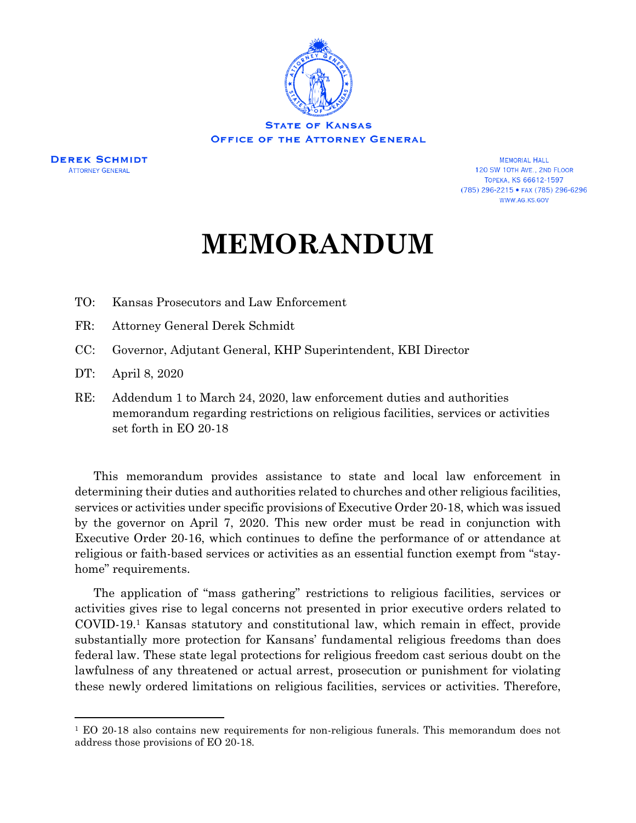

**DEREK SCHMIDT ATTORNEY GENERAL** 

**MEMORIAL HALL** 120 SW 10TH AVE., 2ND FLOOR **ТОРЕКА, KS 66612-1597** (785) 296-2215 • FAX (785) 296-6296 WWW.AG.KS.GOV

## **MEMORANDUM**

- TO: Kansas Prosecutors and Law Enforcement
- FR: Attorney General Derek Schmidt
- CC: Governor, Adjutant General, KHP Superintendent, KBI Director
- DT: April 8, 2020

l

RE: Addendum 1 to March 24, 2020, law enforcement duties and authorities memorandum regarding restrictions on religious facilities, services or activities set forth in EO 20-18

This memorandum provides assistance to state and local law enforcement in determining their duties and authorities related to churches and other religious facilities, services or activities under specific provisions of Executive Order 20-18, which was issued by the governor on April 7, 2020. This new order must be read in conjunction with Executive Order 20-16, which continues to define the performance of or attendance at religious or faith-based services or activities as an essential function exempt from "stayhome" requirements.

The application of "mass gathering" restrictions to religious facilities, services or activities gives rise to legal concerns not presented in prior executive orders related to COVID-19.<sup>1</sup> Kansas statutory and constitutional law, which remain in effect, provide substantially more protection for Kansans' fundamental religious freedoms than does federal law. These state legal protections for religious freedom cast serious doubt on the lawfulness of any threatened or actual arrest, prosecution or punishment for violating these newly ordered limitations on religious facilities, services or activities. Therefore,

<sup>1</sup> EO 20-18 also contains new requirements for non-religious funerals. This memorandum does not address those provisions of EO 20-18.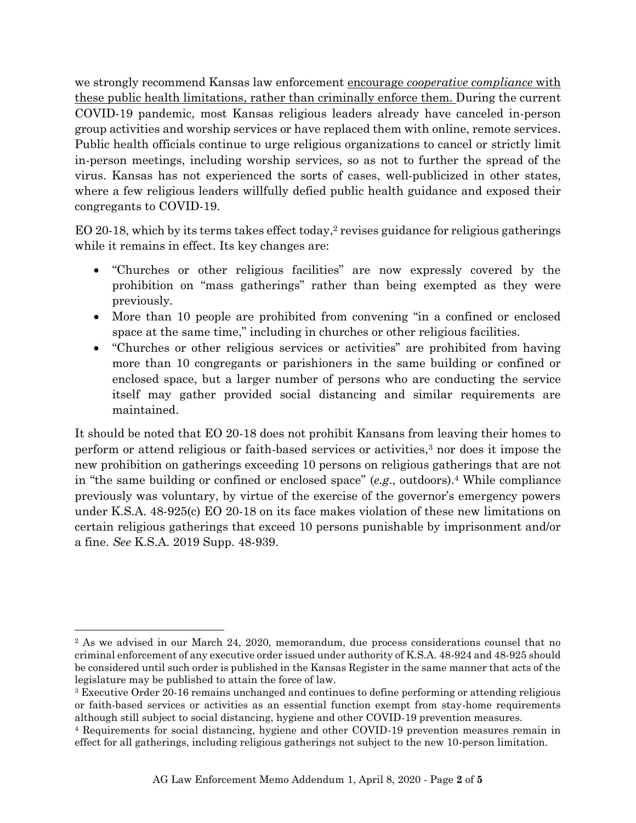we strongly recommend Kansas law enforcement encourage *cooperative compliance* with these public health limitations, rather than criminally enforce them. During the current COVID-19 pandemic, most Kansas religious leaders already have canceled in-person group activities and worship services or have replaced them with online, remote services. Public health officials continue to urge religious organizations to cancel or strictly limit in-person meetings, including worship services, so as not to further the spread of the virus. Kansas has not experienced the sorts of cases, well-publicized in other states, where a few religious leaders willfully defied public health guidance and exposed their congregants to COVID-19.

EO 20-18, which by its terms takes effect today, <sup>2</sup> revises guidance for religious gatherings while it remains in effect. Its key changes are:

- "Churches or other religious facilities" are now expressly covered by the prohibition on "mass gatherings" rather than being exempted as they were previously.
- More than 10 people are prohibited from convening "in a confined or enclosed space at the same time," including in churches or other religious facilities.
- "Churches or other religious services or activities" are prohibited from having more than 10 congregants or parishioners in the same building or confined or enclosed space, but a larger number of persons who are conducting the service itself may gather provided social distancing and similar requirements are maintained.

It should be noted that EO 20-18 does not prohibit Kansans from leaving their homes to perform or attend religious or faith-based services or activities, <sup>3</sup> nor does it impose the new prohibition on gatherings exceeding 10 persons on religious gatherings that are not in "the same building or confined or enclosed space" (*e.g*., outdoors). <sup>4</sup> While compliance previously was voluntary, by virtue of the exercise of the governor's emergency powers under K.S.A. 48-925(c) EO 20-18 on its face makes violation of these new limitations on certain religious gatherings that exceed 10 persons punishable by imprisonment and/or a fine. *See* K.S.A. 2019 Supp. 48-939.

 $\overline{\phantom{a}}$ 

<sup>&</sup>lt;sup>2</sup> As we advised in our March 24, 2020, memorandum, due process considerations counsel that no criminal enforcement of any executive order issued under authority of K.S.A. 48-924 and 48-925 should be considered until such order is published in the Kansas Register in the same manner that acts of the legislature may be published to attain the force of law.

<sup>3</sup> Executive Order 20-16 remains unchanged and continues to define performing or attending religious or faith-based services or activities as an essential function exempt from stay-home requirements although still subject to social distancing, hygiene and other COVID-19 prevention measures.

<sup>4</sup> Requirements for social distancing, hygiene and other COVID-19 prevention measures remain in effect for all gatherings, including religious gatherings not subject to the new 10-person limitation.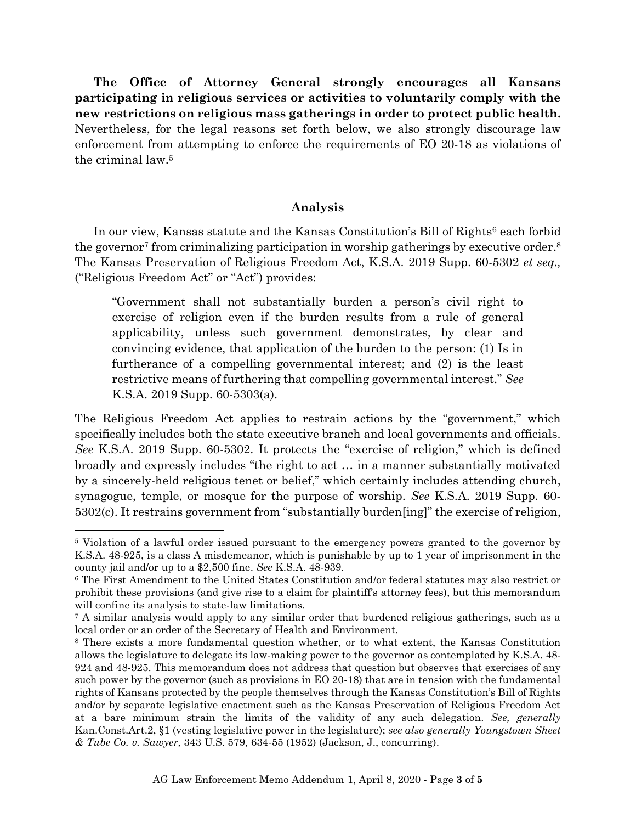**The Office of Attorney General strongly encourages all Kansans participating in religious services or activities to voluntarily comply with the new restrictions on religious mass gatherings in order to protect public health.** Nevertheless, for the legal reasons set forth below, we also strongly discourage law enforcement from attempting to enforce the requirements of EO 20-18 as violations of the criminal law. 5

## **Analysis**

In our view, Kansas statute and the Kansas Constitution's Bill of Rights<sup>6</sup> each forbid the governor<sup>7</sup> from criminalizing participation in worship gatherings by executive order.<sup>8</sup> The Kansas Preservation of Religious Freedom Act, K.S.A. 2019 Supp. 60-5302 *et seq.,* ("Religious Freedom Act" or "Act") provides:

"Government shall not substantially burden a person's civil right to exercise of religion even if the burden results from a rule of general applicability, unless such government demonstrates, by clear and convincing evidence, that application of the burden to the person: (1) Is in furtherance of a compelling governmental interest; and (2) is the least restrictive means of furthering that compelling governmental interest." *See* K.S.A. 2019 Supp. 60-5303(a).

The Religious Freedom Act applies to restrain actions by the "government," which specifically includes both the state executive branch and local governments and officials. *See* K.S.A. 2019 Supp. 60-5302. It protects the "exercise of religion," which is defined broadly and expressly includes "the right to act … in a manner substantially motivated by a sincerely-held religious tenet or belief," which certainly includes attending church, synagogue, temple, or mosque for the purpose of worship. *See* K.S.A. 2019 Supp. 60- 5302(c). It restrains government from "substantially burden[ing]" the exercise of religion,

l

<sup>5</sup> Violation of a lawful order issued pursuant to the emergency powers granted to the governor by K.S.A. 48-925, is a class A misdemeanor, which is punishable by up to 1 year of imprisonment in the county jail and/or up to a \$2,500 fine. *See* K.S.A. 48-939.

<sup>6</sup> The First Amendment to the United States Constitution and/or federal statutes may also restrict or prohibit these provisions (and give rise to a claim for plaintiff's attorney fees), but this memorandum will confine its analysis to state-law limitations.

<sup>7</sup> A similar analysis would apply to any similar order that burdened religious gatherings, such as a local order or an order of the Secretary of Health and Environment.

<sup>8</sup> There exists a more fundamental question whether, or to what extent, the Kansas Constitution allows the legislature to delegate its law-making power to the governor as contemplated by K.S.A. 48- 924 and 48-925. This memorandum does not address that question but observes that exercises of any such power by the governor (such as provisions in EO 20-18) that are in tension with the fundamental rights of Kansans protected by the people themselves through the Kansas Constitution's Bill of Rights and/or by separate legislative enactment such as the Kansas Preservation of Religious Freedom Act at a bare minimum strain the limits of the validity of any such delegation. *See, generally* Kan.Const.Art.2, §1 (vesting legislative power in the legislature); *see also generally Youngstown Sheet & Tube Co. v. Sawyer,* 343 U.S. 579, 634-55 (1952) (Jackson, J., concurring).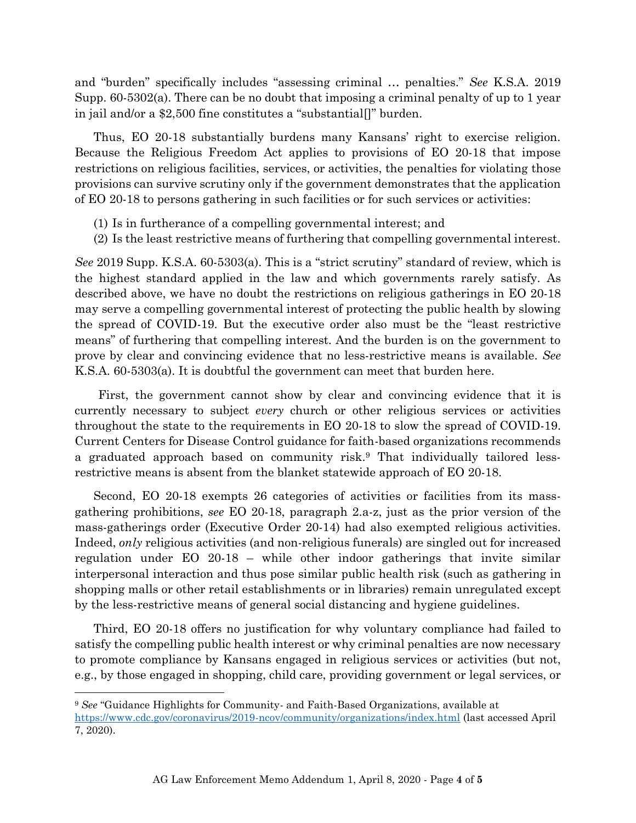and "burden" specifically includes "assessing criminal … penalties." *See* K.S.A. 2019 Supp. 60-5302(a). There can be no doubt that imposing a criminal penalty of up to 1 year in jail and/or a \$2,500 fine constitutes a "substantial[]" burden.

Thus, EO 20-18 substantially burdens many Kansans' right to exercise religion. Because the Religious Freedom Act applies to provisions of EO 20-18 that impose restrictions on religious facilities, services, or activities, the penalties for violating those provisions can survive scrutiny only if the government demonstrates that the application of EO 20-18 to persons gathering in such facilities or for such services or activities:

- (1) Is in furtherance of a compelling governmental interest; and
- (2) Is the least restrictive means of furthering that compelling governmental interest.

*See* 2019 Supp. K.S.A. 60-5303(a). This is a "strict scrutiny" standard of review, which is the highest standard applied in the law and which governments rarely satisfy. As described above, we have no doubt the restrictions on religious gatherings in EO 20-18 may serve a compelling governmental interest of protecting the public health by slowing the spread of COVID-19. But the executive order also must be the "least restrictive means" of furthering that compelling interest. And the burden is on the government to prove by clear and convincing evidence that no less-restrictive means is available. *See* K.S.A. 60-5303(a). It is doubtful the government can meet that burden here.

First, the government cannot show by clear and convincing evidence that it is currently necessary to subject *every* church or other religious services or activities throughout the state to the requirements in EO 20-18 to slow the spread of COVID-19. Current Centers for Disease Control guidance for faith-based organizations recommends a graduated approach based on community risk.<sup>9</sup> That individually tailored lessrestrictive means is absent from the blanket statewide approach of EO 20-18.

Second, EO 20-18 exempts 26 categories of activities or facilities from its massgathering prohibitions, *see* EO 20-18, paragraph 2.a-z, just as the prior version of the mass-gatherings order (Executive Order 20-14) had also exempted religious activities. Indeed, *only* religious activities (and non-religious funerals) are singled out for increased regulation under EO 20-18 – while other indoor gatherings that invite similar interpersonal interaction and thus pose similar public health risk (such as gathering in shopping malls or other retail establishments or in libraries) remain unregulated except by the less-restrictive means of general social distancing and hygiene guidelines.

Third, EO 20-18 offers no justification for why voluntary compliance had failed to satisfy the compelling public health interest or why criminal penalties are now necessary to promote compliance by Kansans engaged in religious services or activities (but not, e.g., by those engaged in shopping, child care, providing government or legal services, or

 $\overline{\phantom{a}}$ 

<sup>9</sup> *See* "Guidance Highlights for Community- and Faith-Based Organizations, available at

<https://www.cdc.gov/coronavirus/2019-ncov/community/organizations/index.html> (last accessed April 7, 2020).